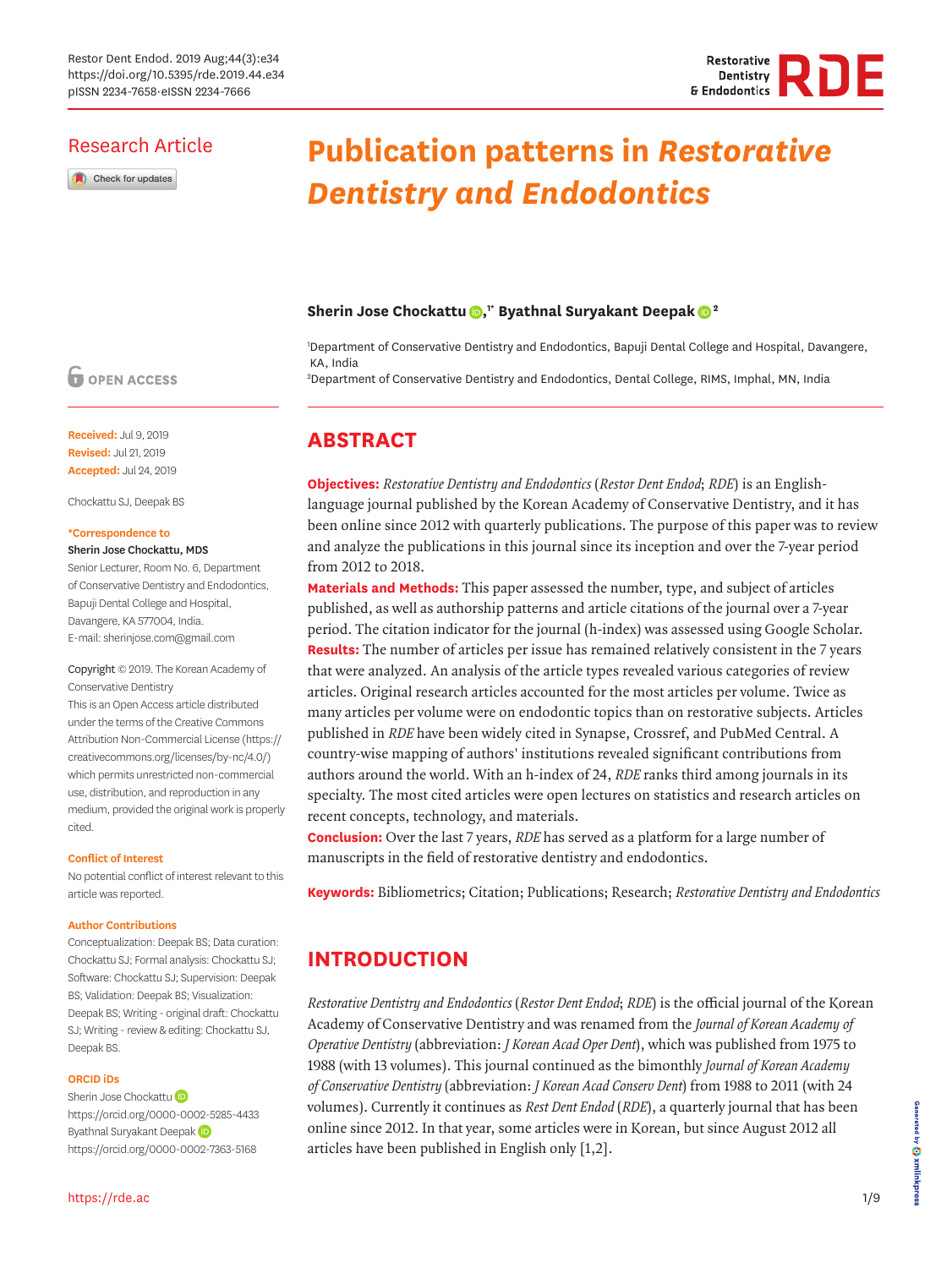

### Research Article

Check for updates

# **Publication patterns in** *Restorative Dentistry and Endodontics*

#### **Sherin Jose Chockattu [,](https://orcid.org/0000-0002-5285-4433) 1\* Byathnal Suryakant Deepak [2](https://orcid.org/0000-0002-7363-5168)**

1 Department of Conservative Dentistry and Endodontics, Bapuji Dental College and Hospital, Davangere, KA, India

2 Department of Conservative Dentistry and Endodontics, Dental College, RIMS, Imphal, MN, India

### **ABSTRACT**

**Objectives:** *Restorative Dentistry and Endodontics* (*Restor Dent Endod*; *RDE*) is an Englishlanguage journal published by the Korean Academy of Conservative Dentistry, and it has been online since 2012 with quarterly publications. The purpose of this paper was to review and analyze the publications in this journal since its inception and over the 7-year period from 2012 to 2018.

**Materials and Methods:** This paper assessed the number, type, and subject of articles published, as well as authorship patterns and article citations of the journal over a 7-year period. The citation indicator for the journal (h-index) was assessed using Google Scholar. **Results:** The number of articles per issue has remained relatively consistent in the 7 years that were analyzed. An analysis of the article types revealed various categories of review articles. Original research articles accounted for the most articles per volume. Twice as many articles per volume were on endodontic topics than on restorative subjects. Articles published in *RDE* have been widely cited in Synapse, Crossref, and PubMed Central. A country-wise mapping of authors' institutions revealed significant contributions from authors around the world. With an h-index of 24, *RDE* ranks third among journals in its specialty. The most cited articles were open lectures on statistics and research articles on recent concepts, technology, and materials.

**Conclusion:** Over the last 7 years, *RDE* has served as a platform for a large number of manuscripts in the field of restorative dentistry and endodontics.

**Keywords:** Bibliometrics; Citation; Publications; Research; *Restorative Dentistry and Endodontics*

# **INTRODUCTION**

<span id="page-0-0"></span>*Restorative Dentistry and Endodontics* (*Restor Dent Endod*; *RDE*) is the official journal of the Korean Academy of Conservative Dentistry and was renamed from the *Journal of Korean Academy of Operative Dentistry* (abbreviation: *J Korean Acad Oper Dent*), which was published from 1975 to 1988 (with 13 volumes). This journal continued as the bimonthly *Journal of Korean Academy of Conservative Dentistry* (abbreviation: *J Korean Acad Conserv Dent*) from 1988 to 2011 (with 24 volumes). Currently it continues as *Rest Dent Endod* (*RDE*), a quarterly journal that has been online since 2012. In that year, some articles were in Korean, but since August 2012 all articles have been published in English only [\[1,](#page-7-0)[2](#page-7-1)].

### **O** OPEN ACCESS

**Received:** Jul 9, 2019 **Revised:** Jul 21, 2019 **Accepted:** Jul 24, 2019

Chockattu SJ, Deepak BS

#### **\*Correspondence to**

#### Sherin Jose Chockattu, MDS

Senior Lecturer, Room No. 6, Department of Conservative Dentistry and Endodontics, Bapuji Dental College and Hospital, Davangere, KA 577004, India. E-mail: sherinjose.com@gmail.com

Copyright © 2019. The Korean Academy of Conservative Dentistry

This is an Open Access article distributed under the terms of the Creative Commons Attribution Non-Commercial License [\(https://](https://creativecommons.org/licenses/by-nc/4.0/) [creativecommons.org/licenses/by-nc/4.0/](https://creativecommons.org/licenses/by-nc/4.0/)) which permits unrestricted non-commercial use, distribution, and reproduction in any medium, provided the original work is properly cited.

#### **Conflict of Interest**

No potential conflict of interest relevant to this article was reported.

#### **Author Contributions**

Conceptualization: Deepak BS; Data curation: Chockattu SJ; Formal analysis: Chockattu SJ; Software: Chockattu SJ; Supervision: Deepak BS; Validation: Deepak BS; Visualization: Deepak BS; Writing - original draft: Chockattu SJ; Writing - review & editing: Chockattu SJ, Deepak BS.

#### **ORCID iDs**

Sherin Jose Chockattu<sup>D</sup> <https://orcid.org/0000-0002-5285-4433> Byathnal Suryakant Deepak <https://orcid.org/0000-0002-7363-5168>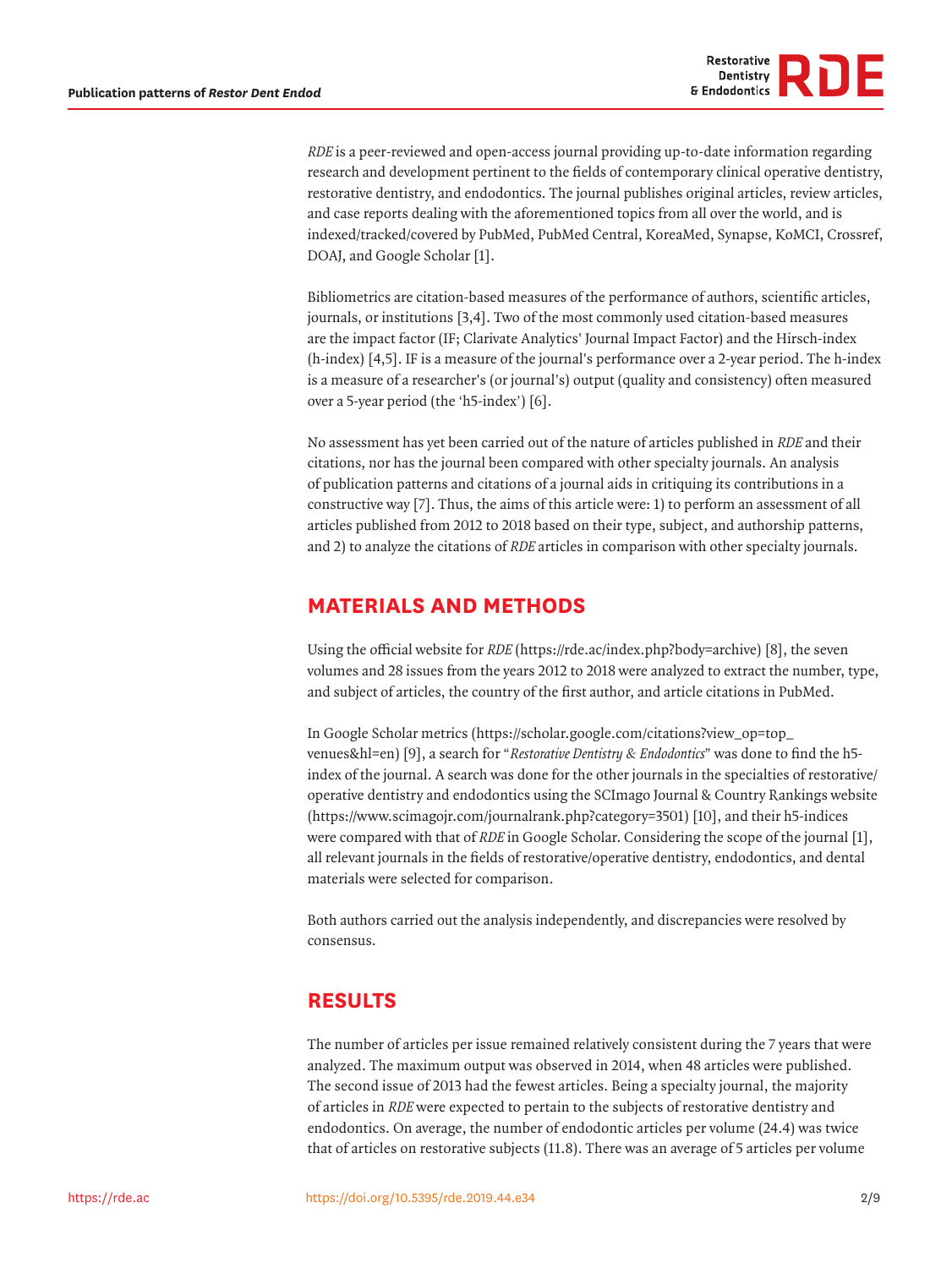

*RDE* is a peer-reviewed and open-access journal providing up-to-date information regarding research and development pertinent to the fields of contemporary clinical operative dentistry, restorative dentistry, and endodontics. The journal publishes original articles, review articles, and case reports dealing with the aforementioned topics from all over the world, and is indexed/tracked/covered by PubMed, PubMed Central, KoreaMed, Synapse, KoMCI, Crossref, DOAJ, and Google Scholar [[1\]](#page-7-0).

<span id="page-1-1"></span><span id="page-1-0"></span>Bibliometrics are citation-based measures of the performance of authors, scientific articles, journals, or institutions [\[3,](#page-7-2)[4\]](#page-7-3). Two of the most commonly used citation-based measures are the impact factor (IF; Clarivate Analytics' Journal Impact Factor) and the Hirsch-index (h-index) [[4](#page-7-3)[,5\]](#page-7-4). IF is a measure of the journal's performance over a 2-year period. The h-index is a measure of a researcher's (or journal's) output (quality and consistency) often measured over a 5-year period (the 'h5-index') [[6](#page-7-5)].

No assessment has yet been carried out of the nature of articles published in *RDE* and their citations, nor has the journal been compared with other specialty journals. An analysis of publication patterns and citations of a journal aids in critiquing its contributions in a constructive way [[7](#page-7-6)]. Thus, the aims of this article were: 1) to perform an assessment of all articles published from 2012 to 2018 based on their type, subject, and authorship patterns, and 2) to analyze the citations of *RDE* articles in comparison with other specialty journals.

### **MATERIALS AND METHODS**

<span id="page-1-2"></span>Using the official website for *RDE* [\(https://rde.ac/index.php?body=archive\)](https://rde.ac/index.php?body=archive) [\[8\]](#page-7-7), the seven volumes and 28 issues from the years 2012 to 2018 were analyzed to extract the number, type, and subject of articles, the country of the first author, and article citations in PubMed.

<span id="page-1-4"></span><span id="page-1-3"></span>In Google Scholar metrics [\(https://scholar.google.com/citations?view\\_op=top\\_](https://scholar.google.com/citations?view_op=top_venues&hl=en) [venues&hl=en](https://scholar.google.com/citations?view_op=top_venues&hl=en)) [[9](#page-7-8)], a search for "*Restorative Dentistry & Endodontics*" was done to find the h5 index of the journal. A search was done for the other journals in the specialties of restorative/ operative dentistry and endodontics using the SCImago Journal & Country Rankings website (<https://www.scimagojr.com/journalrank.php?category=3501>) [[10\]](#page-7-9), and their h5-indices were compared with that of *RDE* in Google Scholar. Considering the scope of the journal [\[1](#page-7-0)], all relevant journals in the fields of restorative/operative dentistry, endodontics, and dental materials were selected for comparison.

Both authors carried out the analysis independently, and discrepancies were resolved by consensus.

## **RESULTS**

The number of articles per issue remained relatively consistent during the 7 years that were analyzed. The maximum output was observed in 2014, when 48 articles were published. The second issue of 2013 had the fewest articles. Being a specialty journal, the majority of articles in *RDE* were expected to pertain to the subjects of restorative dentistry and endodontics. On average, the number of endodontic articles per volume (24.4) was twice that of articles on restorative subjects (11.8). There was an average of 5 articles per volume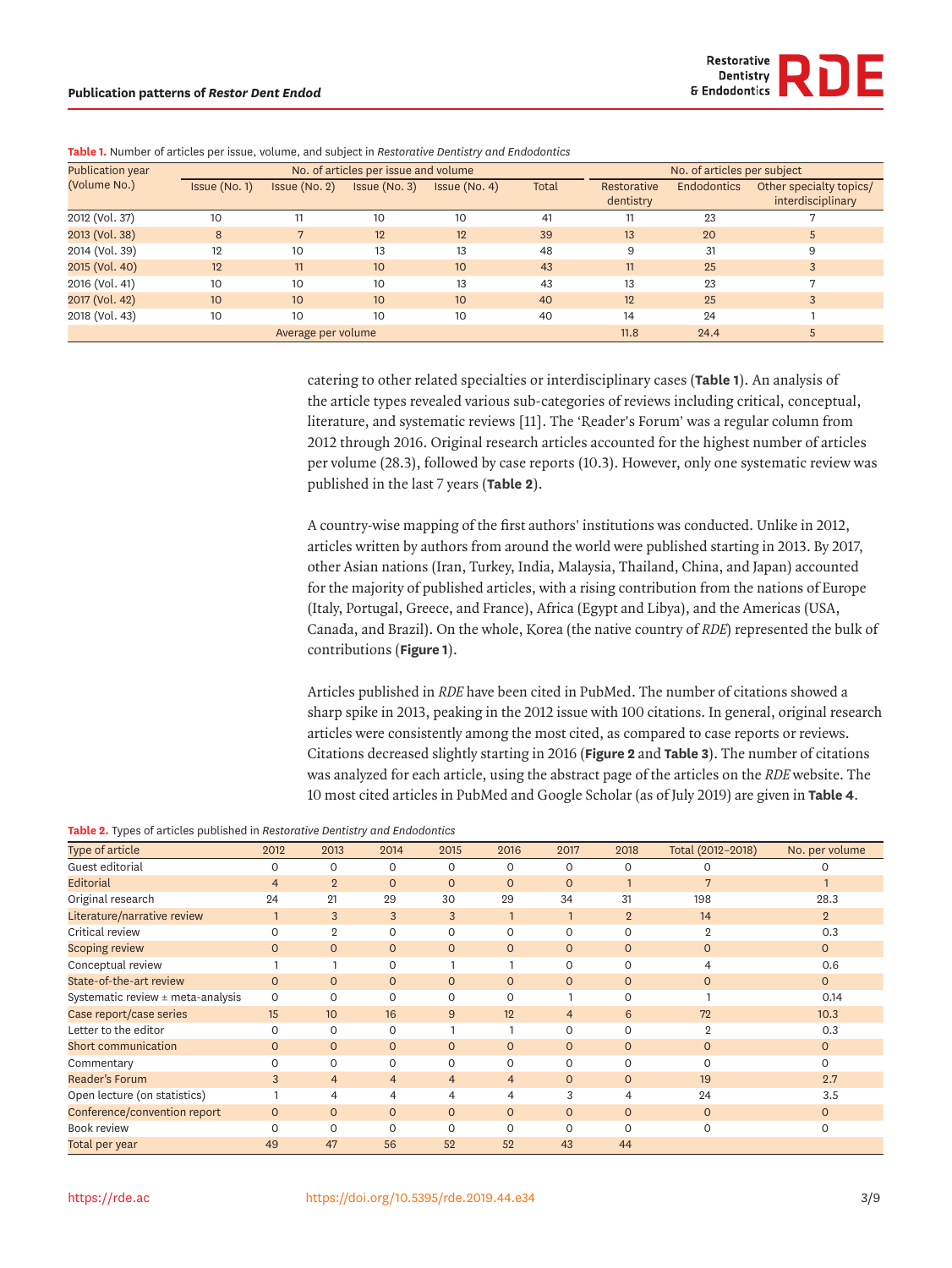| <b>Publication year</b> | No. of articles per issue and volume |                 |                  |                  |       | No. of articles per subject |                    |                                              |  |
|-------------------------|--------------------------------------|-----------------|------------------|------------------|-------|-----------------------------|--------------------|----------------------------------------------|--|
| (Volume No.)            | Issue (No. 1)                        | Issue (No. 2)   | Issue (No. 3)    | Issue (No. 4)    | Total | Restorative<br>dentistry    | <b>Endodontics</b> | Other specialty topics/<br>interdisciplinary |  |
| 2012 (Vol. 37)          | 10 <sup>°</sup>                      |                 | 10               | 10               | 41    |                             | 23                 |                                              |  |
| 2013 (Vol. 38)          | 8                                    |                 | 12               | 12               | 39    | 13                          | 20                 | 5                                            |  |
| 2014 (Vol. 39)          | 12                                   | 10 <sup>2</sup> | 13               | 13               | 48    | 9                           | 31                 | 9                                            |  |
| 2015 (Vol. 40)          | 12                                   | 11              | 10 <sup>10</sup> | 10 <sup>10</sup> | 43    | 11                          | 25                 | 3                                            |  |
| 2016 (Vol. 41)          | 10                                   | 10              | 10               | 13               | 43    | 13                          | 23                 |                                              |  |
| 2017 (Vol. 42)          | 10 <sup>10</sup>                     | 10 <sup>1</sup> | 10 <sup>10</sup> | 10 <sup>10</sup> | 40    | 12                          | 25                 | 3                                            |  |
| 2018 (Vol. 43)          | 10                                   | 10 <sup>2</sup> | 10               | 10               | 40    | 14                          | 24                 |                                              |  |
|                         | Average per volume                   |                 |                  |                  |       | 11.8                        | 24.4               | 5                                            |  |

<span id="page-2-0"></span>**Table 1.** Number of articles per issue, volume, and subject in *Restorative Dentistry and Endodontics*

<span id="page-2-2"></span>catering to other related specialties or interdisciplinary cases (**[Table 1](#page-2-0)**). An analysis of the article types revealed various sub-categories of reviews including critical, conceptual, literature, and systematic reviews [\[11\]](#page-7-10). The 'Reader's Forum' was a regular column from 2012 through 2016. Original research articles accounted for the highest number of articles per volume (28.3), followed by case reports (10.3). However, only one systematic review was published in the last 7 years (**[Table 2](#page-2-1)**).

A country-wise mapping of the first authors' institutions was conducted. Unlike in 2012, articles written by authors from around the world were published starting in 2013. By 2017, other Asian nations (Iran, Turkey, India, Malaysia, Thailand, China, and Japan) accounted for the majority of published articles, with a rising contribution from the nations of Europe (Italy, Portugal, Greece, and France), Africa (Egypt and Libya), and the Americas (USA, Canada, and Brazil). On the whole, Korea (the native country of *RDE*) represented the bulk of contributions (**[Figure 1](#page-3-0)**).

Articles published in *RDE* have been cited in PubMed. The number of citations showed a sharp spike in 2013, peaking in the 2012 issue with 100 citations. In general, original research articles were consistently among the most cited, as compared to case reports or reviews. Citations decreased slightly starting in 2016 (**[Figure 2](#page-3-1)** and **[Table 3](#page-4-0)**). The number of citations was analyzed for each article, using the abstract page of the articles on the *RDE* website. The 10 most cited articles in PubMed and Google Scholar (as of July 2019) are given in **[Table 4](#page-5-0)**.

#### <span id="page-2-1"></span>**Table 2.** Types of articles published in *Restorative Dentistry and Endodontics*

| Type of article                       | 2012         | 2013           | 2014           | 2015           | 2016           | 2017           | 2018           | Total (2012-2018) | No. per volume |
|---------------------------------------|--------------|----------------|----------------|----------------|----------------|----------------|----------------|-------------------|----------------|
| Guest editorial                       | $\Omega$     | $\Omega$       | $\Omega$       | O              | $\Omega$       | $\Omega$       | $\Omega$       |                   |                |
| Editorial                             | 4            | $2^{\circ}$    | $\mathbf{0}$   | $\mathbf{O}$   | $\circ$        | $\mathbf{0}$   |                | 7                 |                |
| Original research                     | 24           | 21             | 29             | 30             | 29             | 34             | 31             | 198               | 28.3           |
| Literature/narrative review           |              | 3              | 3              | 3              | $\mathbf{1}$   |                | $\overline{2}$ | 14                | $\overline{2}$ |
| Critical review                       |              | $\overline{2}$ | $\mathbf 0$    | 0              | 0              | $\circ$        | 0              | $\overline{2}$    | 0.3            |
| Scoping review                        | $\mathbf{O}$ | $\mathbf{0}$   | $\mathbf{0}$   | $\mathbf{O}$   | $\circ$        | $\mathbf{0}$   | $\mathbf{O}$   | $\circ$           | $\mathbf{O}$   |
| Conceptual review                     |              |                | $\Omega$       |                |                | $\Omega$       | 0              |                   | 0.6            |
| State-of-the-art review               | $\mathbf{O}$ | $\circ$        | $\mathbf{O}$   | $\mathbf{O}$   | $\circ$        | $\mathbf{0}$   | $\mathbf{O}$   | $\circ$           | $\mathbf{O}$   |
| Systematic review $\pm$ meta-analysis | 0            | $\circ$        | $\mathbf 0$    | 0              | 0              |                | 0              |                   | 0.14           |
| Case report/case series               | 15           | 10             | 16             | $\overline{9}$ | 12             | $\overline{4}$ | 6              | 72                | 10.3           |
| Letter to the editor                  | $\Omega$     | $\Omega$       | $\Omega$       |                |                | $\Omega$       | $\Omega$       | $\mathbf{2}$      | 0.3            |
| Short communication                   | $\mathbf{0}$ | $\mathbf{0}$   | $\mathbf{0}$   | $\mathbf{O}$   | $\circ$        | $\Omega$       | $\mathbf{O}$   | $\circ$           | $\mathbf{O}$   |
| Commentary                            |              | $\Omega$       | $\Omega$       | $\Omega$       | $\Omega$       | $\Omega$       | $\Omega$       | $\Omega$          | 0              |
| Reader's Forum                        | 3            | $\overline{4}$ | $\overline{4}$ | $\overline{4}$ | $\overline{4}$ | $\Omega$       | $\mathbf{O}$   | 19                | 2.7            |
| Open lecture (on statistics)          |              | 4              | 4              | 4              | $\overline{4}$ | 3              | 4              | 24                | 3.5            |
| Conference/convention report          | $\mathbf{O}$ | $\circ$        | $\mathbf{O}$   | $\mathsf{O}$   | $\circ$        | $\mathbf{0}$   | $\circ$        | $\circ$           | $\Omega$       |
| Book review                           |              | $\Omega$       | $\Omega$       | O              | $\Omega$       | $\Omega$       | $\Omega$       | $\Omega$          | 0              |
| Total per year                        | 49           | 47             | 56             | 52             | 52             | 43             | 44             |                   |                |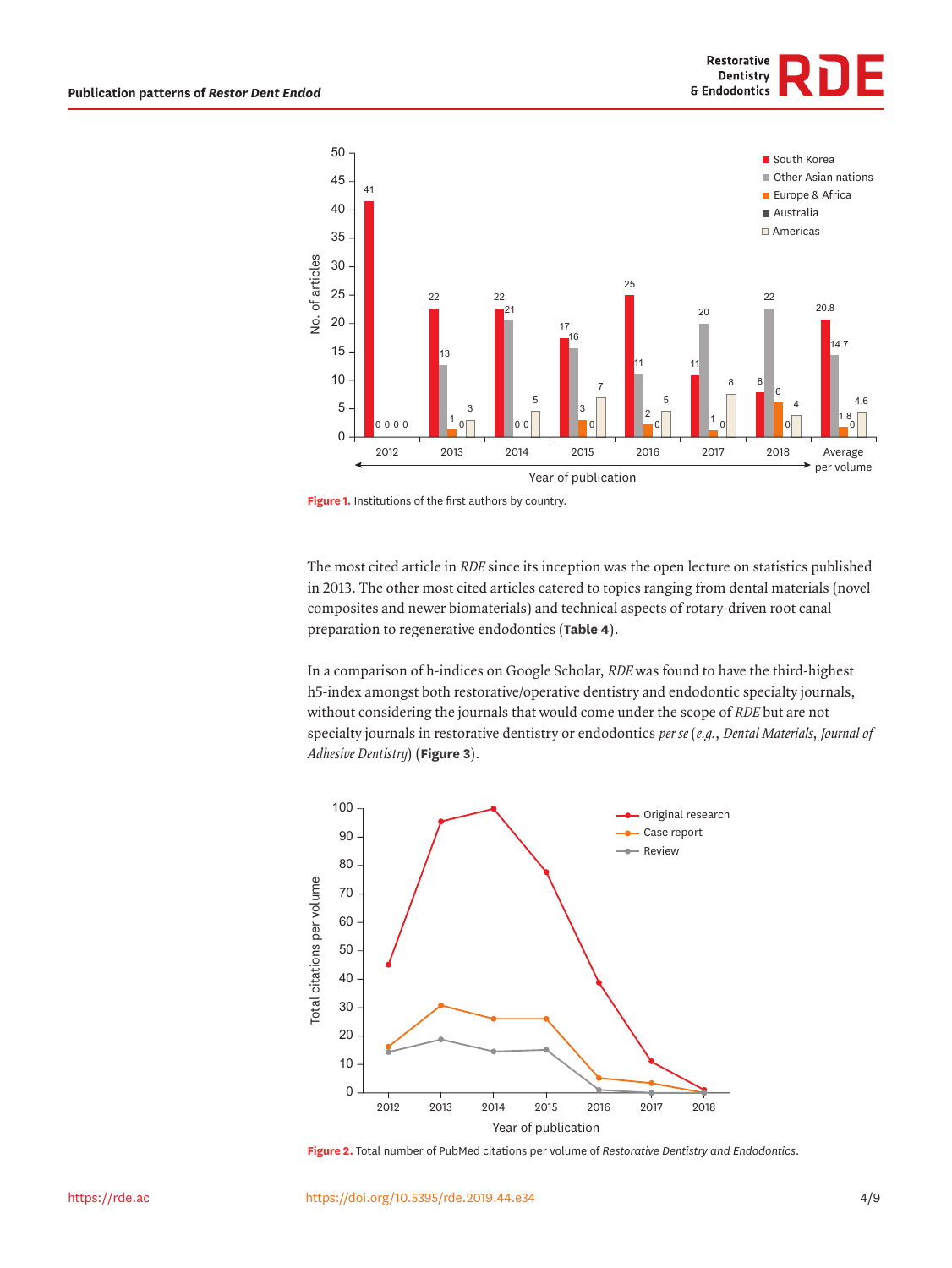



<span id="page-3-0"></span>**Figure 1.** Institutions of the first authors by country.

The most cited article in *RDE* since its inception was the open lecture on statistics published in 2013. The other most cited articles catered to topics ranging from dental materials (novel composites and newer biomaterials) and technical aspects of rotary-driven root canal preparation to regenerative endodontics (**[Table 4](#page-5-0)**).

In a comparison of h-indices on Google Scholar, *RDE* was found to have the third-highest h5-index amongst both restorative/operative dentistry and endodontic specialty journals, without considering the journals that would come under the scope of *RDE* but are not specialty journals in restorative dentistry or endodontics *per se* (*e.g.*, *Dental Materials*, *Journal of Adhesive Dentistry*) (**[Figure 3](#page-4-1)**).



<span id="page-3-1"></span>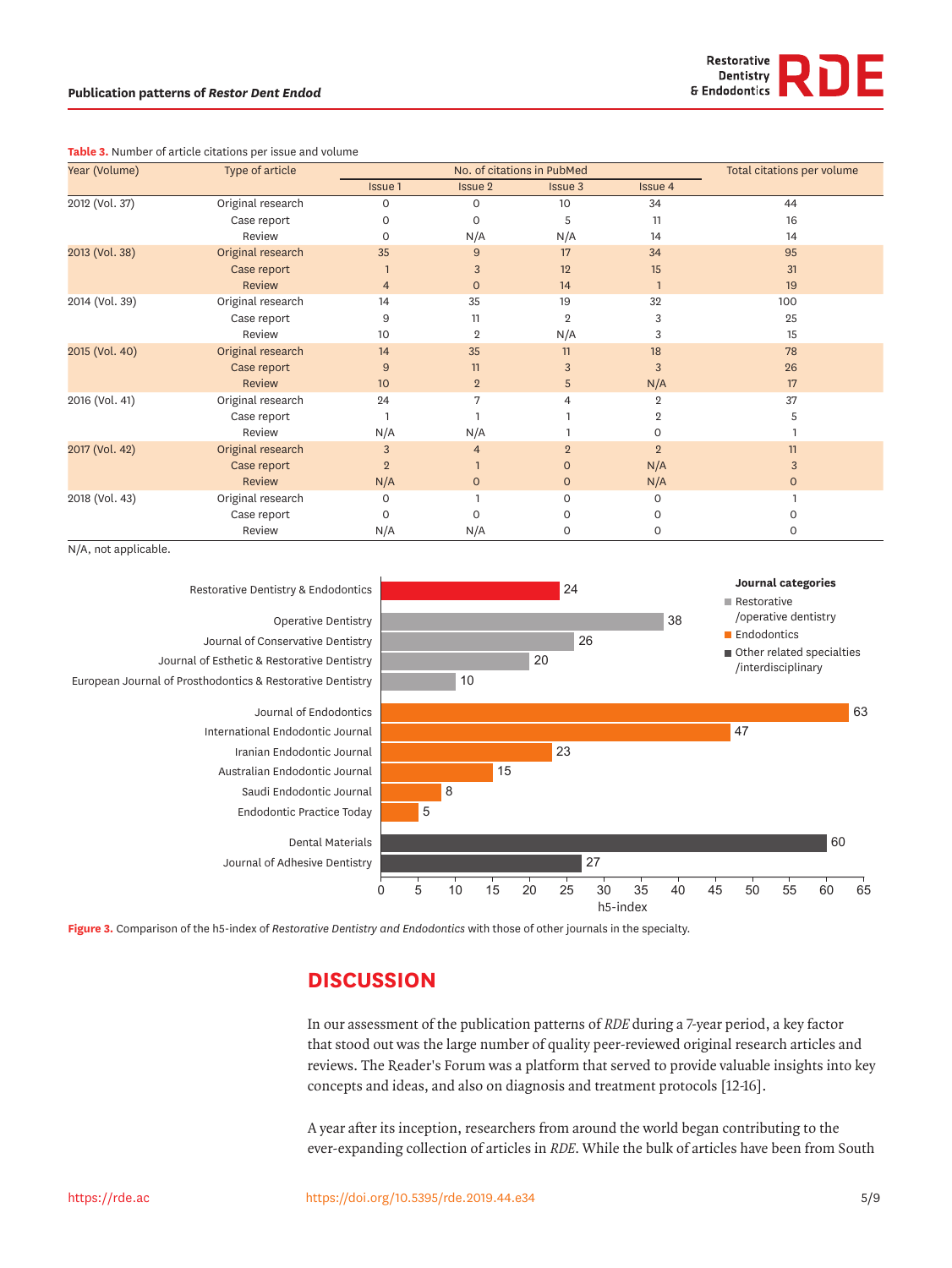#### **Publication patterns of** *Restor Dent Endod*



| Year (Volume)  | Type of article   |                 | Total citations per volume |                |                |          |
|----------------|-------------------|-----------------|----------------------------|----------------|----------------|----------|
|                |                   | Issue 1         | Issue 2                    | Issue 3        | Issue 4        |          |
| 2012 (Vol. 37) | Original research | 0               | $\Omega$                   | 10             | 34             | 44       |
|                | Case report       | Ο               | ∩                          |                | 11             | 16       |
|                | Review            | 0               | N/A                        | N/A            | 14             | 14       |
| 2013 (Vol. 38) | Original research | 35              | 9                          | 17             | 34             | 95       |
|                | Case report       |                 | 3                          | 12             | 15             | 31       |
|                | <b>Review</b>     | $\overline{4}$  | $\Omega$                   | 14             |                | 19       |
| 2014 (Vol. 39) | Original research | 14              | 35                         | 19             | 32             | 100      |
|                | Case report       | 9               | 11                         | 2              | 3              | 25       |
|                | Review            | 10              | $\overline{2}$             | N/A            | 3              | 15       |
| 2015 (Vol. 40) | Original research | 14              | 35                         | 11             | 18             | 78       |
|                | Case report       | 9               | 11                         | 3              | 3              | 26       |
|                | Review            | 10 <sup>°</sup> | $\overline{2}$             | 5              | N/A            | 17       |
| 2016 (Vol. 41) | Original research | 24              |                            | 4              | 2              | 37       |
|                | Case report       |                 |                            |                | 2              |          |
|                | Review            | N/A             | N/A                        |                | 0              |          |
| 2017 (Vol. 42) | Original research | 3               |                            | $\overline{2}$ | $\overline{2}$ | 11       |
|                | Case report       | $\overline{2}$  |                            | $\Omega$       | N/A            | 3        |
|                | <b>Review</b>     | N/A             | $\Omega$                   | $\mathbf{O}$   | N/A            | $\Omega$ |
| 2018 (Vol. 43) | Original research | Ο               |                            | O              | 0              |          |
|                | Case report       | 0               |                            | 0              | 0              |          |

#### <span id="page-4-0"></span>**Table 3.** Number of article citations per issue and volume

N/A, not applicable.



Review N/A N/A 0 0 0

<span id="page-4-1"></span>**Figure 3.** Comparison of the h5-index of *Restorative Dentistry and Endodontics* with those of other journals in the specialty.

### **DISCUSSION**

In our assessment of the publication patterns of *RDE* during a 7-year period, a key factor that stood out was the large number of quality peer-reviewed original research articles and reviews. The Reader's Forum was a platform that served to provide valuable insights into key concepts and ideas, and also on diagnosis and treatment protocols [\[12](#page-7-11)[-16](#page-8-0)].

<span id="page-4-2"></span>A year after its inception, researchers from around the world began contributing to the ever-expanding collection of articles in *RDE*. While the bulk of articles have been from South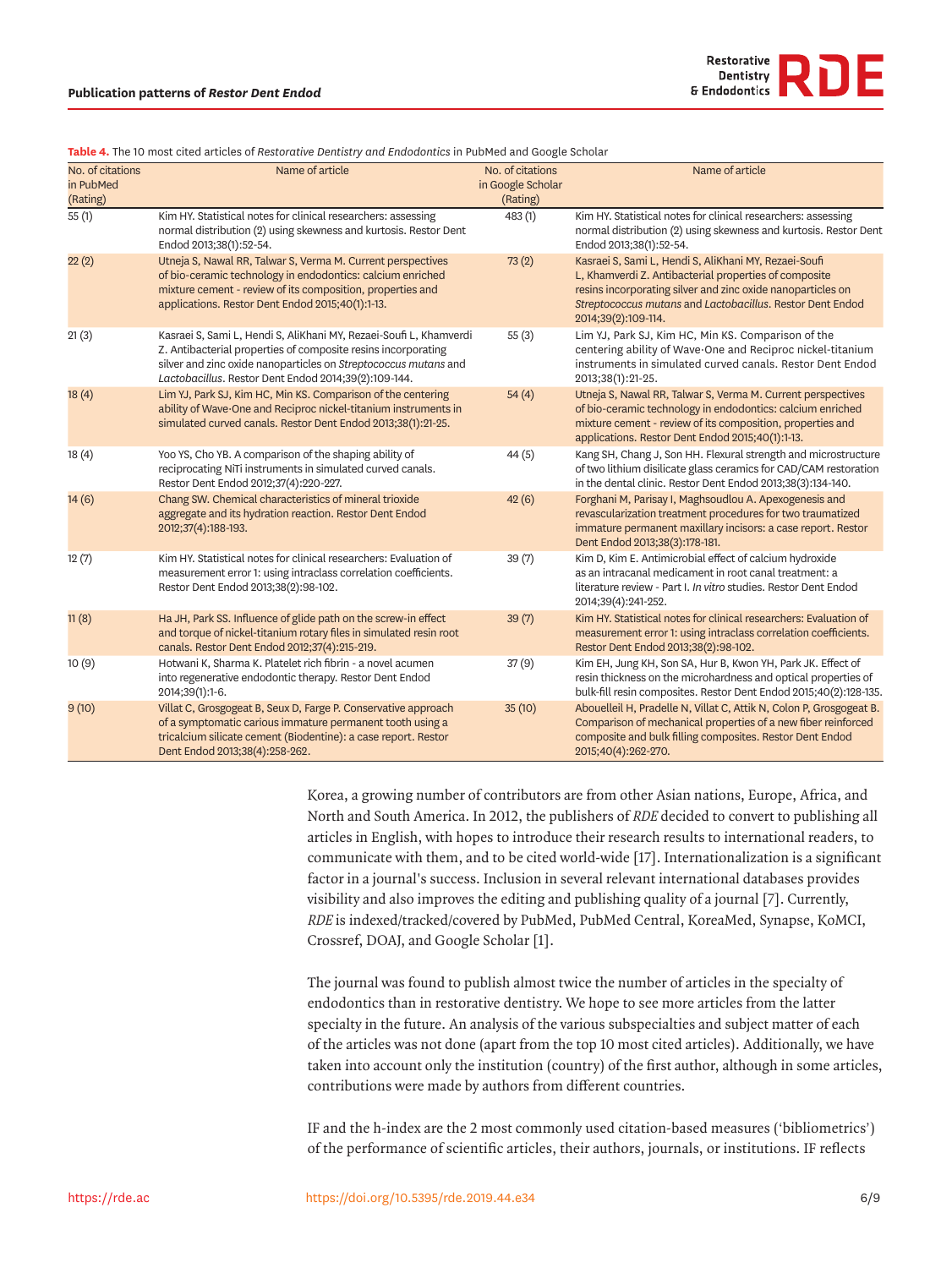

<span id="page-5-0"></span>**Table 4.** The 10 most cited articles of *Restorative Dentistry and Endodontics* in PubMed and Google Scholar

| No. of citations<br>in PubMed<br>(Rating) | Name of article                                                                                                                                                                                                                                                | No. of citations<br>in Google Scholar<br>(Rating) | Name of article                                                                                                                                                                                                                                                   |
|-------------------------------------------|----------------------------------------------------------------------------------------------------------------------------------------------------------------------------------------------------------------------------------------------------------------|---------------------------------------------------|-------------------------------------------------------------------------------------------------------------------------------------------------------------------------------------------------------------------------------------------------------------------|
| 55(1)                                     | Kim HY. Statistical notes for clinical researchers: assessing<br>normal distribution (2) using skewness and kurtosis. Restor Dent<br>Endod 2013;38(1):52-54.                                                                                                   | 483 (1)                                           | Kim HY. Statistical notes for clinical researchers: assessing<br>normal distribution (2) using skewness and kurtosis. Restor Dent<br>Endod 2013;38(1):52-54.                                                                                                      |
| 22(2)                                     | Utneja S, Nawal RR, Talwar S, Verma M. Current perspectives<br>of bio-ceramic technology in endodontics: calcium enriched<br>mixture cement - review of its composition, properties and<br>applications. Restor Dent Endod 2015;40(1):1-13.                    | 73(2)                                             | Kasraei S, Sami L, Hendi S, AliKhani MY, Rezaei-Soufi<br>L, Khamverdi Z. Antibacterial properties of composite<br>resins incorporating silver and zinc oxide nanoparticles on<br>Streptococcus mutans and Lactobacillus. Restor Dent Endod<br>2014;39(2):109-114. |
| 21(3)                                     | Kasraei S, Sami L, Hendi S, AliKhani MY, Rezaei-Soufi L, Khamverdi<br>Z. Antibacterial properties of composite resins incorporating<br>silver and zinc oxide nanoparticles on Streptococcus mutans and<br>Lactobacillus. Restor Dent Endod 2014;39(2):109-144. | 55(3)                                             | Lim YJ, Park SJ, Kim HC, Min KS. Comparison of the<br>centering ability of Wave One and Reciproc nickel-titanium<br>instruments in simulated curved canals. Restor Dent Endod<br>2013;38(1):21-25.                                                                |
| 18(4)                                     | Lim YJ, Park SJ, Kim HC, Min KS. Comparison of the centering<br>ability of Wave One and Reciproc nickel-titanium instruments in<br>simulated curved canals. Restor Dent Endod 2013;38(1):21-25.                                                                | 54(4)                                             | Utneja S, Nawal RR, Talwar S, Verma M. Current perspectives<br>of bio-ceramic technology in endodontics: calcium enriched<br>mixture cement - review of its composition, properties and<br>applications. Restor Dent Endod 2015;40(1):1-13.                       |
| 18(4)                                     | Yoo YS, Cho YB. A comparison of the shaping ability of<br>reciprocating NiTi instruments in simulated curved canals.<br>Restor Dent Endod 2012;37(4):220-227.                                                                                                  | 44(5)                                             | Kang SH, Chang J, Son HH. Flexural strength and microstructure<br>of two lithium disilicate glass ceramics for CAD/CAM restoration<br>in the dental clinic. Restor Dent Endod 2013;38(3):134-140.                                                                 |
| 14 (6)                                    | Chang SW. Chemical characteristics of mineral trioxide<br>aggregate and its hydration reaction. Restor Dent Endod<br>2012;37(4):188-193.                                                                                                                       | 42(6)                                             | Forghani M, Parisay I, Maghsoudlou A. Apexogenesis and<br>revascularization treatment procedures for two traumatized<br>immature permanent maxillary incisors: a case report. Restor<br>Dent Endod 2013;38(3):178-181.                                            |
| 12(7)                                     | Kim HY. Statistical notes for clinical researchers: Evaluation of<br>measurement error 1: using intraclass correlation coefficients.<br>Restor Dent Endod 2013;38(2):98-102.                                                                                   | 39(7)                                             | Kim D, Kim E. Antimicrobial effect of calcium hydroxide<br>as an intracanal medicament in root canal treatment: a<br>literature review - Part I. In vitro studies. Restor Dent Endod<br>2014;39(4):241-252.                                                       |
| 11(8)                                     | Ha JH, Park SS. Influence of glide path on the screw-in effect<br>and torque of nickel-titanium rotary files in simulated resin root<br>canals. Restor Dent Endod 2012;37(4):215-219.                                                                          | 39(7)                                             | Kim HY. Statistical notes for clinical researchers: Evaluation of<br>measurement error 1: using intraclass correlation coefficients.<br>Restor Dent Endod 2013;38(2):98-102.                                                                                      |
| 10(9)                                     | Hotwani K, Sharma K. Platelet rich fibrin - a novel acumen<br>into regenerative endodontic therapy. Restor Dent Endod<br>2014;39(1):1-6.                                                                                                                       | 37(9)                                             | Kim EH, Jung KH, Son SA, Hur B, Kwon YH, Park JK. Effect of<br>resin thickness on the microhardness and optical properties of<br>bulk-fill resin composites. Restor Dent Endod 2015;40(2):128-135.                                                                |
| 9(10)                                     | Villat C, Grosgogeat B, Seux D, Farge P. Conservative approach<br>of a symptomatic carious immature permanent tooth using a<br>tricalcium silicate cement (Biodentine): a case report. Restor<br>Dent Endod 2013;38(4):258-262.                                | 35(10)                                            | Abouelleil H, Pradelle N, Villat C, Attik N, Colon P, Grosgogeat B.<br>Comparison of mechanical properties of a new fiber reinforced<br>composite and bulk filling composites. Restor Dent Endod<br>2015;40(4):262-270.                                           |

<span id="page-5-3"></span>Korea, a growing number of contributors are from other Asian nations, Europe, Africa, and North and South America. In 2012, the publishers of *RDE* decided to convert to publishing all articles in English, with hopes to introduce their research results to international readers, to communicate with them, and to be cited world-wide [[17\]](#page-8-1). Internationalization is a significant factor in a journal's success. Inclusion in several relevant international databases provides visibility and also improves the editing and publishing quality of a journal [\[7\]](#page-7-6). Currently, *RDE* is indexed/tracked/covered by PubMed, PubMed Central, KoreaMed, Synapse, KoMCI, Crossref, DOAJ, and Google Scholar [[1\]](#page-7-0).

<span id="page-5-2"></span><span id="page-5-1"></span>The journal was found to publish almost twice the number of articles in the specialty of endodontics than in restorative dentistry. We hope to see more articles from the latter specialty in the future. An analysis of the various subspecialties and subject matter of each of the articles was not done (apart from the top 10 most cited articles). Additionally, we have taken into account only the institution (country) of the first author, although in some articles, contributions were made by authors from different countries.

IF and the h-index are the 2 most commonly used citation-based measures ('bibliometrics') of the performance of scientific articles, their authors, journals, or institutions. IF reflects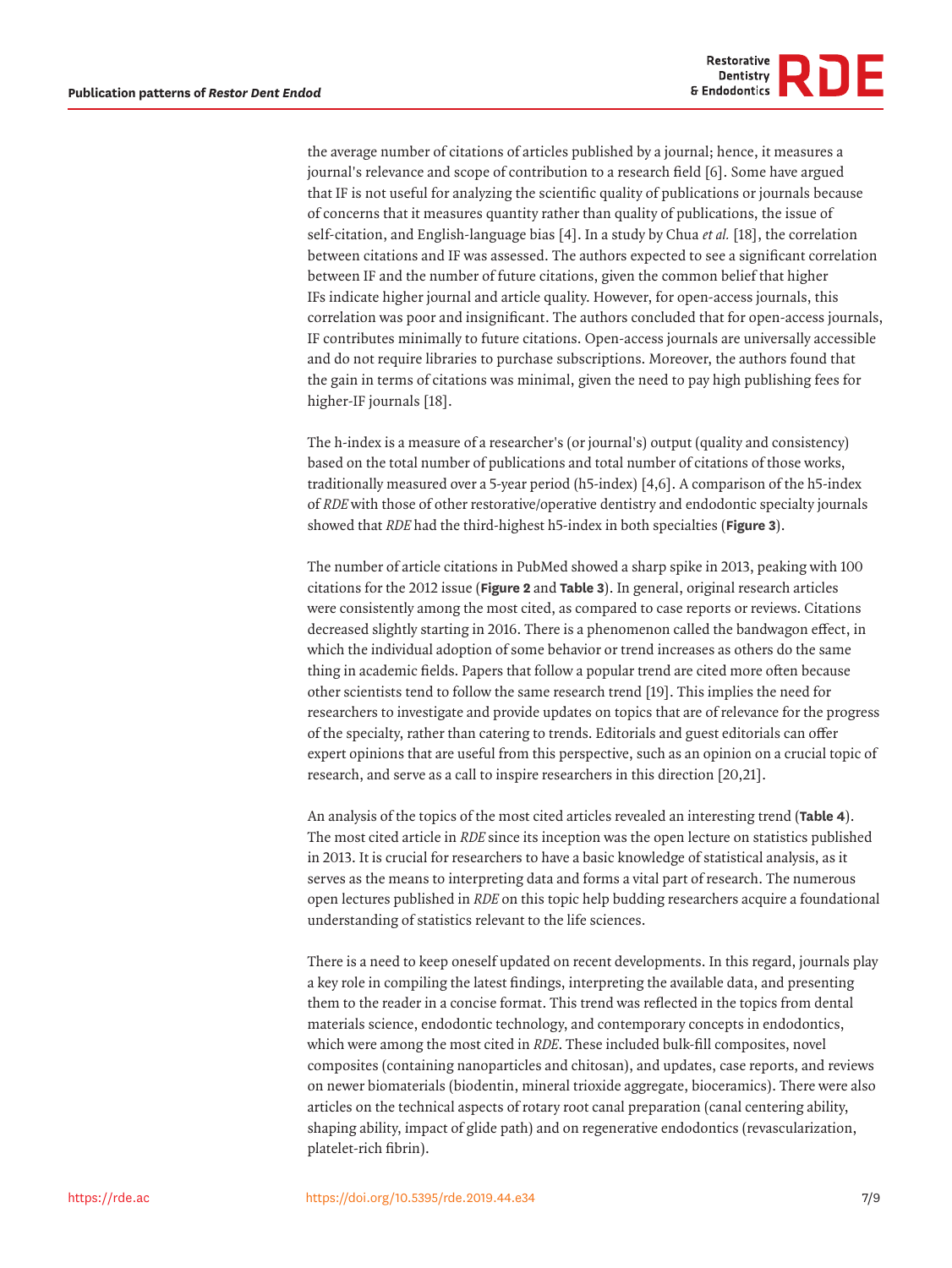

the average number of citations of articles published by a journal; hence, it measures a journal's relevance and scope of contribution to a research field [\[6](#page-7-5)]. Some have argued that IF is not useful for analyzing the scientific quality of publications or journals because of concerns that it measures quantity rather than quality of publications, the issue of self-citation, and English-language bias [[4\]](#page-7-3). In a study by Chua *et al.* [\[18\]](#page-8-2), the correlation between citations and IF was assessed. The authors expected to see a significant correlation between IF and the number of future citations, given the common belief that higher IFs indicate higher journal and article quality. However, for open-access journals, this correlation was poor and insignificant. The authors concluded that for open-access journals, IF contributes minimally to future citations. Open-access journals are universally accessible and do not require libraries to purchase subscriptions. Moreover, the authors found that the gain in terms of citations was minimal, given the need to pay high publishing fees for higher-IF journals [\[18\]](#page-8-2).

<span id="page-6-1"></span><span id="page-6-0"></span>The h-index is a measure of a researcher's (or journal's) output (quality and consistency) based on the total number of publications and total number of citations of those works, traditionally measured over a 5-year period (h5-index) [[4](#page-7-3)[,6\]](#page-7-5). A comparison of the h5-index of *RDE* with those of other restorative/operative dentistry and endodontic specialty journals showed that *RDE* had the third-highest h5-index in both specialties (**[Figure 3](#page-4-1)**).

<span id="page-6-2"></span>The number of article citations in PubMed showed a sharp spike in 2013, peaking with 100 citations for the 2012 issue (**[Figure 2](#page-3-1)** and **[Table 3](#page-4-0)**). In general, original research articles were consistently among the most cited, as compared to case reports or reviews. Citations decreased slightly starting in 2016. There is a phenomenon called the bandwagon effect, in which the individual adoption of some behavior or trend increases as others do the same thing in academic fields. Papers that follow a popular trend are cited more often because other scientists tend to follow the same research trend [\[19\]](#page-8-3). This implies the need for researchers to investigate and provide updates on topics that are of relevance for the progress of the specialty, rather than catering to trends. Editorials and guest editorials can offer expert opinions that are useful from this perspective, such as an opinion on a crucial topic of research, and serve as a call to inspire researchers in this direction [\[20](#page-8-4),[21](#page-8-5)].

<span id="page-6-3"></span>An analysis of the topics of the most cited articles revealed an interesting trend (**[Table 4](#page-5-0)**). The most cited article in *RDE* since its inception was the open lecture on statistics published in 2013. It is crucial for researchers to have a basic knowledge of statistical analysis, as it serves as the means to interpreting data and forms a vital part of research. The numerous open lectures published in *RDE* on this topic help budding researchers acquire a foundational understanding of statistics relevant to the life sciences.

There is a need to keep oneself updated on recent developments. In this regard, journals play a key role in compiling the latest findings, interpreting the available data, and presenting them to the reader in a concise format. This trend was reflected in the topics from dental materials science, endodontic technology, and contemporary concepts in endodontics, which were among the most cited in *RDE*. These included bulk-fill composites, novel composites (containing nanoparticles and chitosan), and updates, case reports, and reviews on newer biomaterials (biodentin, mineral trioxide aggregate, bioceramics). There were also articles on the technical aspects of rotary root canal preparation (canal centering ability, shaping ability, impact of glide path) and on regenerative endodontics (revascularization, platelet-rich fibrin).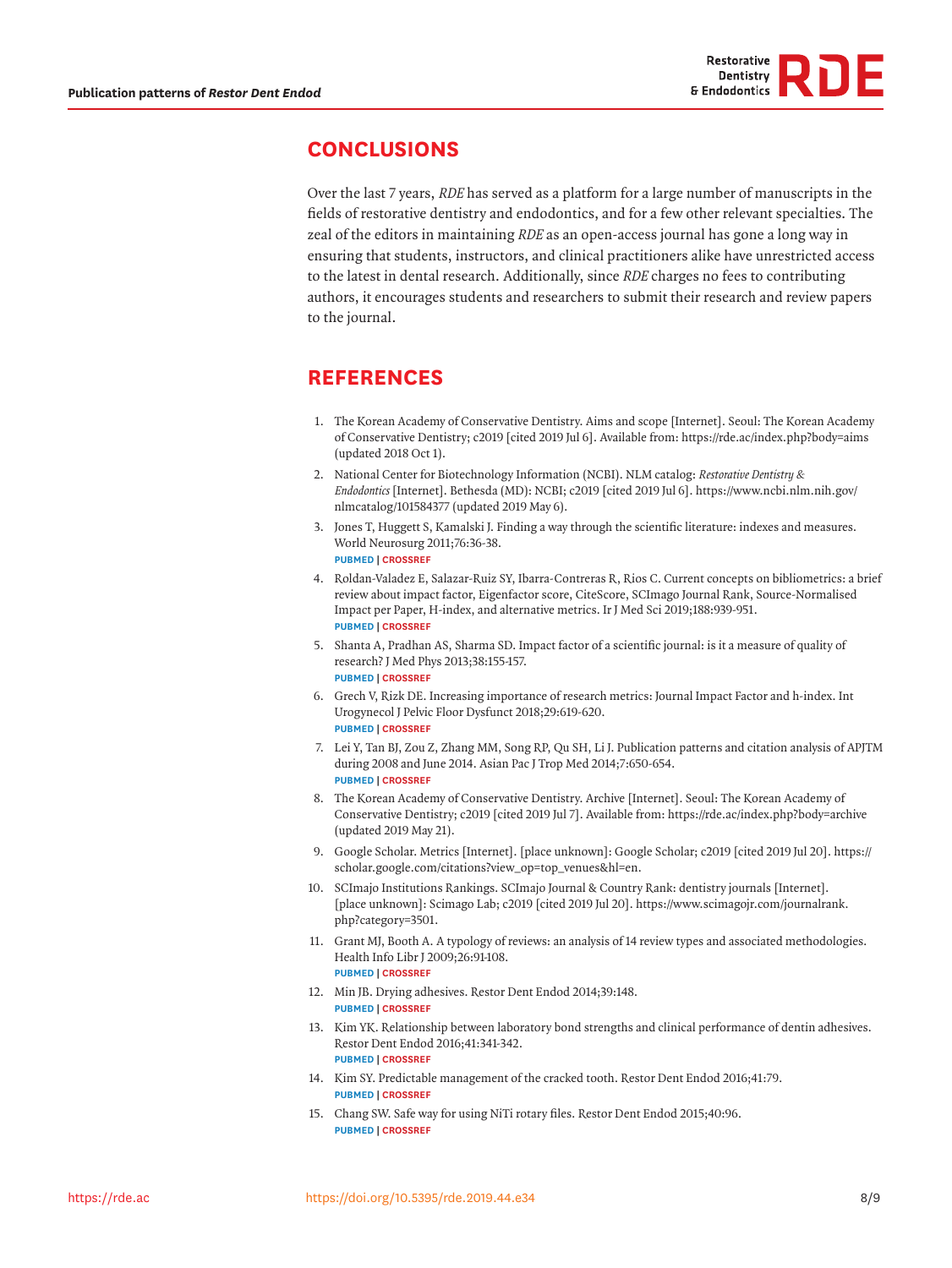

### **CONCLUSIONS**

Over the last 7 years, *RDE* has served as a platform for a large number of manuscripts in the fields of restorative dentistry and endodontics, and for a few other relevant specialties. The zeal of the editors in maintaining *RDE* as an open-access journal has gone a long way in ensuring that students, instructors, and clinical practitioners alike have unrestricted access to the latest in dental research. Additionally, since *RDE* charges no fees to contributing authors, it encourages students and researchers to submit their research and review papers to the journal.

### **REFERENCES**

- <span id="page-7-0"></span>[1.](#page-5-1) The Korean Academy of Conservative Dentistry. Aims and scope [Internet]. Seoul: The Korean Academy of Conservative Dentistry; c2019 [cited 2019 Jul 6]. Available from: https://rde.ac/index.php?body=aims (updated 2018 Oct 1).
- <span id="page-7-1"></span>[2.](#page-0-0) National Center for Biotechnology Information (NCBI). NLM catalog: *Restorative Dentistry & Endodontics* [Internet]. Bethesda (MD): NCBI; c2019 [cited 2019 Jul 6]. [https://www.ncbi.nlm.nih.gov/](https://www.ncbi.nlm.nih.gov/nlmcatalog/101584377) [nlmcatalog/101584377](https://www.ncbi.nlm.nih.gov/nlmcatalog/101584377) (updated 2019 May 6).
- <span id="page-7-2"></span>[3.](#page-1-0) Jones T, Huggett S, Kamalski J. Finding a way through the scientific literature: indexes and measures. World Neurosurg 2011;76:36-38. **[PUBMED](http://www.ncbi.nlm.nih.gov/pubmed/21839937) | [CROSSREF](https://doi.org/10.1016/j.wneu.2011.01.015)**
- <span id="page-7-3"></span>[4.](#page-6-0) Roldan-Valadez E, Salazar-Ruiz SY, Ibarra-Contreras R, Rios C. Current concepts on bibliometrics: a brief review about impact factor, Eigenfactor score, CiteScore, SCImago Journal Rank, Source-Normalised Impact per Paper, H-index, and alternative metrics. Ir J Med Sci 2019;188:939-951. **[PUBMED](http://www.ncbi.nlm.nih.gov/pubmed/30511320) | [CROSSREF](https://doi.org/10.1007/s11845-018-1936-5)**
- <span id="page-7-4"></span>[5.](#page-1-1) Shanta A, Pradhan AS, Sharma SD. Impact factor of a scientific journal: is it a measure of quality of research? J Med Phys 2013;38:155-157. **[PUBMED](http://www.ncbi.nlm.nih.gov/pubmed/24672148) | [CROSSREF](https://doi.org/10.4103/0971-6203.121191)**
- <span id="page-7-5"></span>[6.](#page-6-0) Grech V, Rizk DE. Increasing importance of research metrics: Journal Impact Factor and h-index. Int Urogynecol J Pelvic Floor Dysfunct 2018;29:619-620. **[PUBMED](http://www.ncbi.nlm.nih.gov/pubmed/29549395) | [CROSSREF](https://doi.org/10.1007/s00192-018-3604-8)**
- <span id="page-7-6"></span>[7.](#page-5-2) Lei Y, Tan BJ, Zou Z, Zhang MM, Song RP, Qu SH, Li J. Publication patterns and citation analysis of APJTM during 2008 and June 2014. Asian Pac J Trop Med 2014;7:650-654. **[PUBMED](http://www.ncbi.nlm.nih.gov/pubmed/25149380) | [CROSSREF](https://doi.org/10.1016/S1995-7645(14)60109-7)**
- <span id="page-7-7"></span>[8.](#page-1-2) The Korean Academy of Conservative Dentistry. Archive [Internet]. Seoul: The Korean Academy of Conservative Dentistry; c2019 [cited 2019 Jul 7]. Available from: https://rde.ac/index.php?body=archive (updated 2019 May 21).
- <span id="page-7-8"></span>[9.](#page-1-3) Google Scholar. Metrics [Internet]. [place unknown]: Google Scholar; c2019 [cited 2019 Jul 20]. https:// scholar.google.com/citations?view\_op=top\_venues&hl=en.
- <span id="page-7-9"></span>[10.](#page-1-4) SCImajo Institutions Rankings. SCImajo Journal & Country Rank: dentistry journals [Internet]. [place unknown]: Scimago Lab; c2019 [cited 2019 Jul 20]. [https://www.scimagojr.com/journalrank.](https://www.scimagojr.com/journalrank.php?category=3501) [php?category=3501](https://www.scimagojr.com/journalrank.php?category=3501).
- <span id="page-7-10"></span>[11.](#page-2-2) Grant MJ, Booth A. A typology of reviews: an analysis of 14 review types and associated methodologies. Health Info Libr J 2009;26:91-108.
	- **[PUBMED](http://www.ncbi.nlm.nih.gov/pubmed/19490148) | [CROSSREF](https://doi.org/10.1111/j.1471-1842.2009.00848.x)**
- <span id="page-7-11"></span>[12.](#page-4-2) Min JB. Drying adhesives. Restor Dent Endod 2014;39:148. **[PUBMED](http://www.ncbi.nlm.nih.gov/pubmed/24790930) | [CROSSREF](https://doi.org/10.5395/rde.2014.39.2.148)**
- 13. Kim YK. Relationship between laboratory bond strengths and clinical performance of dentin adhesives. Restor Dent Endod 2016;41:341-342. **[PUBMED](http://www.ncbi.nlm.nih.gov/pubmed/27847758) | [CROSSREF](https://doi.org/10.5395/rde.2016.41.4.341)**
- 14. Kim SY. Predictable management of the cracked tooth. Restor Dent Endod 2016;41:79. **[PUBMED](http://www.ncbi.nlm.nih.gov/pubmed/26877995) | [CROSSREF](https://doi.org/10.5395/rde.2016.41.1.79)**
- 15. Chang SW. Safe way for using NiTi rotary files. Restor Dent Endod 2015;40:96. **[PUBMED](http://www.ncbi.nlm.nih.gov/pubmed/25671220) | [CROSSREF](https://doi.org/10.5395/rde.2015.40.1.96)**